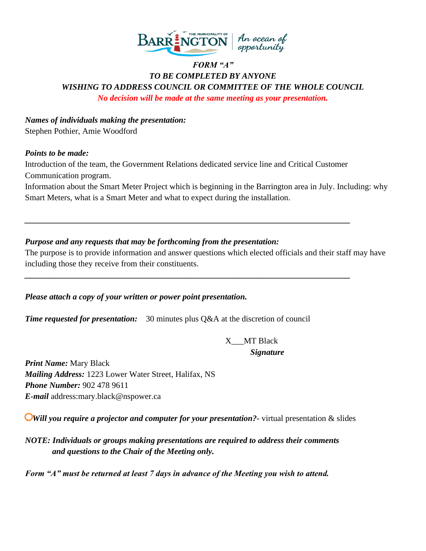

### *FORM "A" TO BE COMPLETED BY ANYONE WISHING TO ADDRESS COUNCIL OR COMMITTEE OF THE WHOLE COUNCIL No decision will be made at the same meeting as your presentation.*

*Names of individuals making the presentation:* Stephen Pothier, Amie Woodford

#### *Points to be made:*

Introduction of the team, the Government Relations dedicated service line and Critical Customer Communication program.

*\_\_\_\_\_\_\_\_\_\_\_\_\_\_\_\_\_\_\_\_\_\_\_\_\_\_\_\_\_\_\_\_\_\_\_\_\_\_\_\_\_\_\_\_\_\_\_\_\_\_\_\_\_\_\_\_\_\_\_\_\_\_\_\_\_\_\_\_\_\_\_\_\_\_\_\_\_\_*

*\_\_\_\_\_\_\_\_\_\_\_\_\_\_\_\_\_\_\_\_\_\_\_\_\_\_\_\_\_\_\_\_\_\_\_\_\_\_\_\_\_\_\_\_\_\_\_\_\_\_\_\_\_\_\_\_\_\_\_\_\_\_\_\_\_\_\_\_\_\_\_\_\_\_\_\_\_\_*

Information about the Smart Meter Project which is beginning in the Barrington area in July. Including: why Smart Meters, what is a Smart Meter and what to expect during the installation.

### *Purpose and any requests that may be forthcoming from the presentation:*

The purpose is to provide information and answer questions which elected officials and their staff may have including those they receive from their constituents.

*Please attach a copy of your written or power point presentation.*

*Time requested for presentation:* 30 minutes plus Q&A at the discretion of council

X\_\_\_MT Black  *Signature*

*Print Name:* Mary Black *Mailing Address:* 1223 Lower Water Street, Halifax, NS *Phone Number:* 902 478 9611 *E-mail* address:mary.black@nspower.ca

**Will you require a projector and computer for your presentation?** virtual presentation & slides

*NOTE: Individuals or groups making presentations are required to address their comments and questions to the Chair of the Meeting only.* 

*Form "A" must be returned at least 7 days in advance of the Meeting you wish to attend.*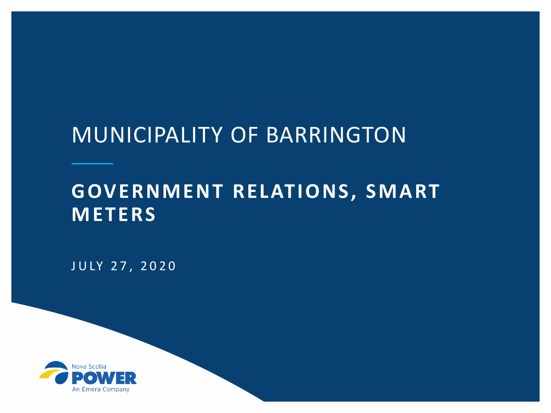## MUNICIPALITY OF BARRINGTON

### **GOVERNMENT RELATIONS, SMART METERS**

JULY 27, 2020

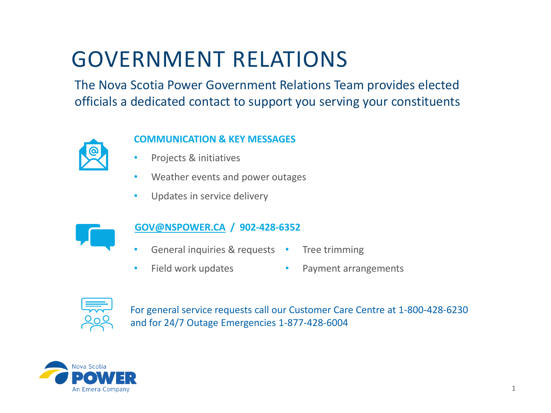# GOVERNMENT RELATIONS

The Nova Scotia Power Government Relations Team provides elected officials a dedicated contact to support you serving your constituents



### **COMMUNICATION & KEY MESSAGES**

- Projects & initiatives
- Weather events and power outages
- Updates in service delivery



### **[GOV@NSPOWER.CA](mailto:GOV@NSPOWER.CA) / 902-428-6352**

- General inquiries & requests Tree trimming
- Field work updates • Payment arrangements



For general service requests call our Customer Care Centre at 1-800-428-6230 and for 24/7 Outage Emergencies 1-877-428-6004

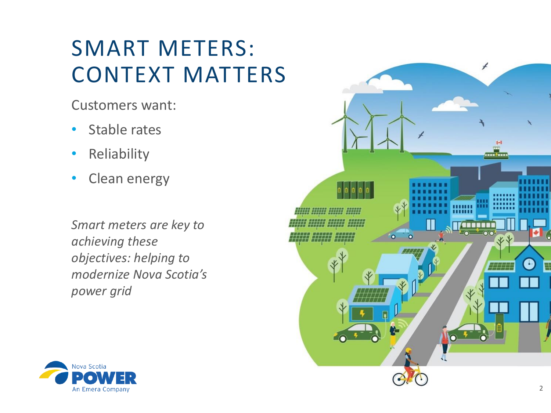# SMART METERS: CONTEXT MATTERS

Customers want:

- Stable rates
- Reliability
- Clean energy

*Smart meters are key to achieving these objectives: helping to modernize Nova Scotia's power grid* 



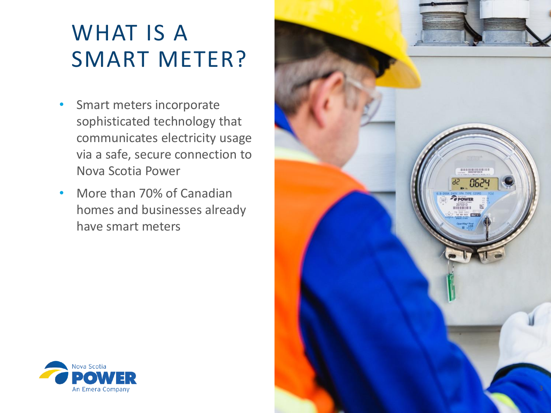# WHAT IS A SMART METER?

- Smart meters incorporate sophisticated technology that communicates electricity usage via a safe, secure connection to Nova Scotia Power
- More than 70% of Canadian homes and businesses already have smart meters



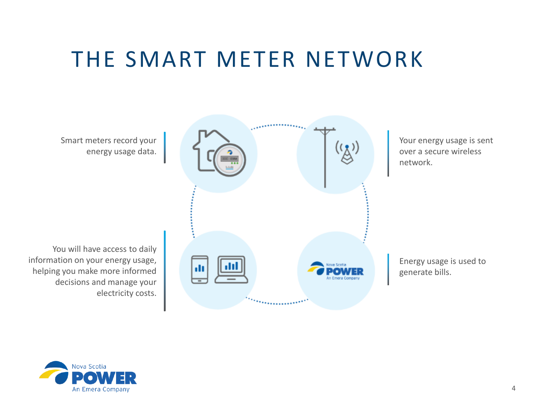## THE SMART METER NETWORK

Smart meters record your energy usage data.

You will have access to daily information on your energy usage, helping you make more informed decisions and manage your electricity costs.



Your energy usage is sent over a secure wireless network.

Energy usage is used to generate bills.

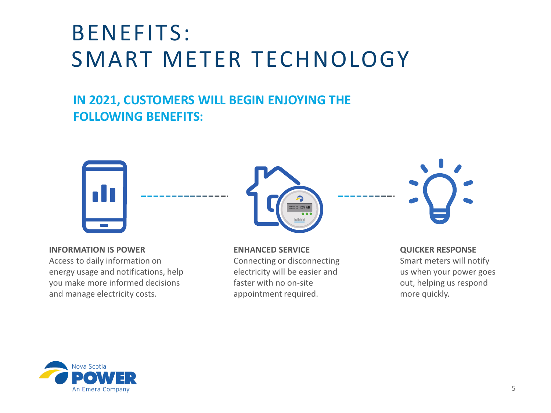# BENEFITS: SMART METER TECHNOLOGY

### **IN 2021, CUSTOMERS WILL BEGIN ENJOYING THE FOLLOWING BENEFITS:**



#### **INFORMATION IS POWER**

Access to daily information on energy usage and notifications, help you make more informed decisions and manage electricity costs.



**ENHANCED SERVICE** Connecting or disconnecting electricity will be easier and faster with no on-site appointment required.



#### **QUICKER RESPONSE**

Smart meters will notify us when your power goes out, helping us respond more quickly.

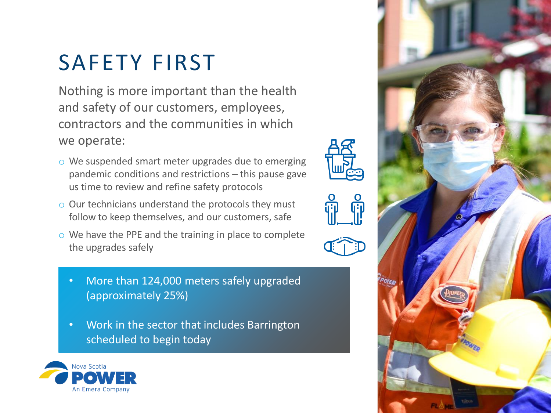# SAFETY FIRST

Nothing is more important than the health and safety of our customers, employees, contractors and the communities in which we operate:

- o We suspended smart meter upgrades due to emerging pandemic conditions and restrictions – this pause gave us time to review and refine safety protocols
- o Our technicians understand the protocols they must follow to keep themselves, and our customers, safe
- o We have the PPE and the training in place to complete the upgrades safely
	- More than 124,000 meters safely upgraded (approximately 25%)
	- Work in the sector that includes Barrington scheduled to begin today



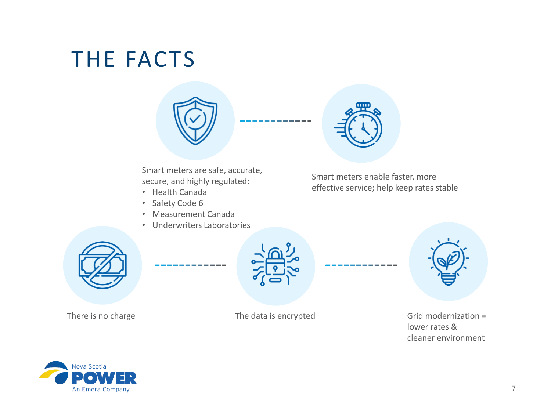# THE FACTS



Smart meters are safe, accurate, secure, and highly regulated:

- Health Canada
- Safety Code 6
- Measurement Canada
- Underwriters Laboratories



Smart meters enable faster, more effective service; help keep rates stable





There is no charge The data is encrypted Grid modernization = lower rates & cleaner environment

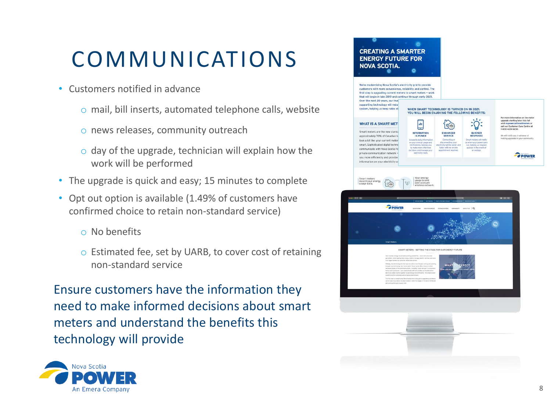# COMMUNICATIONS

- Customers notified in advance
	- o mail, bill inserts, automated telephone calls, website
	- o news releases, community outreach
	- o day of the upgrade, technician will explain how the work will be performed
- The upgrade is quick and easy; 15 minutes to complete
- Opt out option is available (1.49% of customers have confirmed choice to retain non-standard service)
	- o No benefits
	- o Estimated fee, set by UARB, to cover cost of retaining non-standard service

Ensure customers have the information they need to make informed decisions about smart meters and understand the benefits this technology will provide